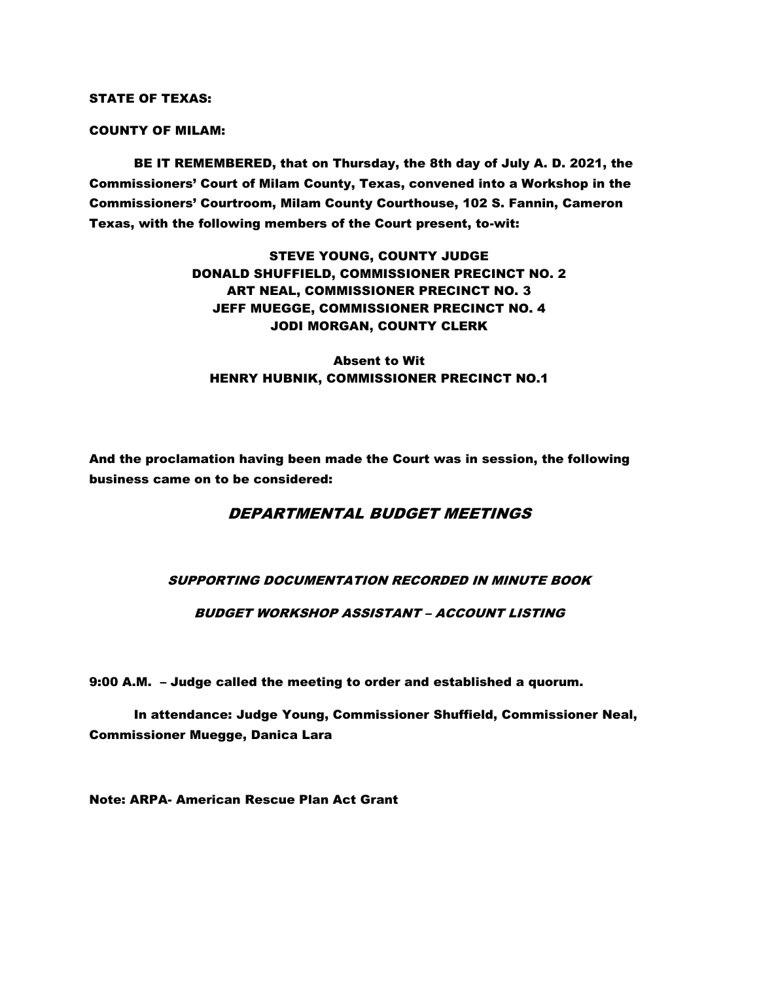STATE OF TEXAS:

COUNTY OF MILAM:

BE IT REMEMBERED, that on Thursday, the 8th day of July A. D. 2021, the Commissioners' Court of Milam County, Texas, convened into a Workshop in the Commissioners' Courtroom, Milam County Courthouse, 102 S. Fannin, Cameron Texas, with the following members of the Court present, to-wit:

> STEVE YOUNG, COUNTY JUDGE DONALD SHUFFIELD, COMMISSIONER PRECINCT NO. 2 ART NEAL, COMMISSIONER PRECINCT NO. 3 JEFF MUEGGE, COMMISSIONER PRECINCT NO. 4 JODI MORGAN, COUNTY CLERK

Absent to Wit HENRY HUBNIK, COMMISSIONER PRECINCT NO.1

And the proclamation having been made the Court was in session, the following business came on to be considered:

# DEPARTMENTAL BUDGET MEETINGS

# SUPPORTING DOCUMENTATION RECORDED IN MINUTE BOOK

### BUDGET WORKSHOP ASSISTANT – ACCOUNT LISTING

9:00 A.M. – Judge called the meeting to order and established a quorum.

In attendance: Judge Young, Commissioner Shuffield, Commissioner Neal, Commissioner Muegge, Danica Lara

Note: ARPA- American Rescue Plan Act Grant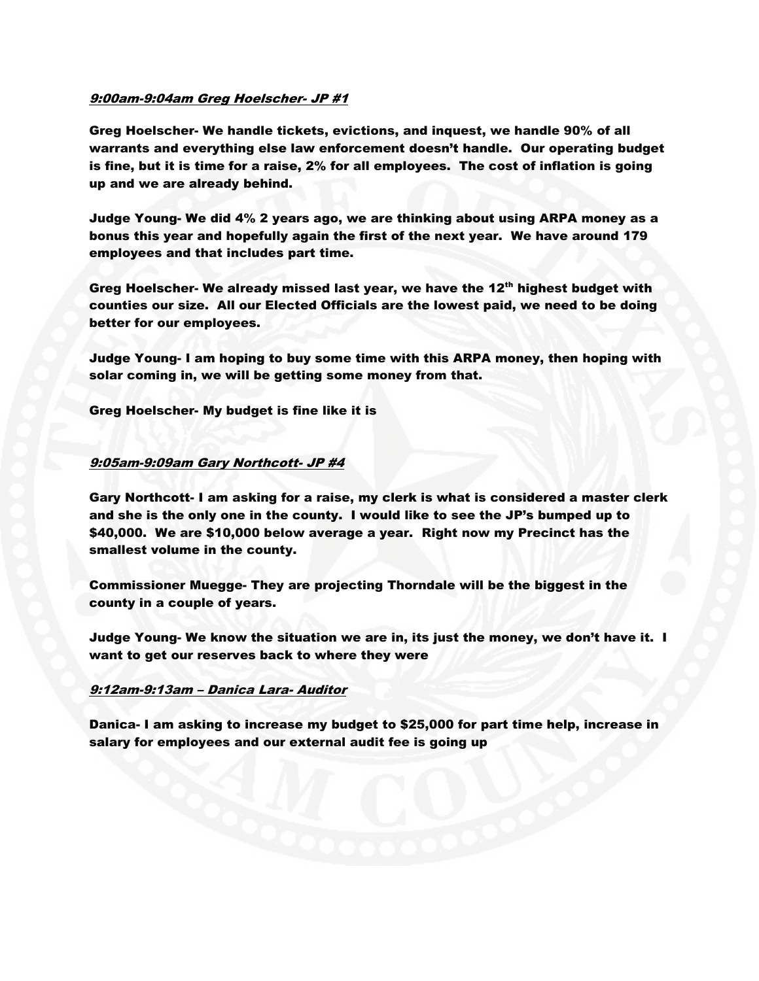### 9:00am-9:04am Greg Hoelscher- JP #1

Greg Hoelscher- We handle tickets, evictions, and inquest, we handle 90% of all warrants and everything else law enforcement doesn't handle. Our operating budget is fine, but it is time for a raise, 2% for all employees. The cost of inflation is going up and we are already behind.

Judge Young- We did 4% 2 years ago, we are thinking about using ARPA money as a bonus this year and hopefully again the first of the next year. We have around 179 employees and that includes part time.

Greg Hoelscher- We already missed last year, we have the 12<sup>th</sup> highest budget with counties our size. All our Elected Officials are the lowest paid, we need to be doing better for our employees.

Judge Young- I am hoping to buy some time with this ARPA money, then hoping with solar coming in, we will be getting some money from that.

Greg Hoelscher- My budget is fine like it is

### 9:05am-9:09am Gary Northcott- JP #4

Gary Northcott- I am asking for a raise, my clerk is what is considered a master clerk and she is the only one in the county. I would like to see the JP's bumped up to \$40,000. We are \$10,000 below average a year. Right now my Precinct has the smallest volume in the county.

Commissioner Muegge- They are projecting Thorndale will be the biggest in the county in a couple of years.

Judge Young- We know the situation we are in, its just the money, we don't have it. I want to get our reserves back to where they were

#### 9:12am-9:13am – Danica Lara- Auditor

Danica- I am asking to increase my budget to \$25,000 for part time help, increase in salary for employees and our external audit fee is going up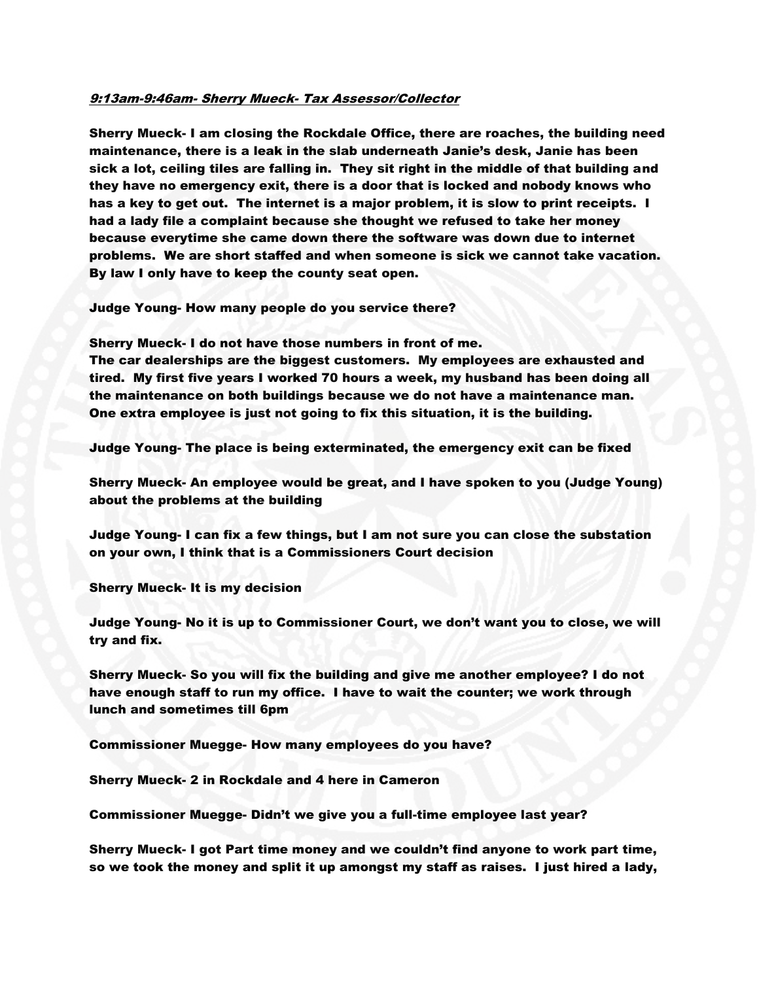### 9:13am-9:46am- Sherry Mueck- Tax Assessor/Collector

Sherry Mueck- I am closing the Rockdale Office, there are roaches, the building need maintenance, there is a leak in the slab underneath Janie's desk, Janie has been sick a lot, ceiling tiles are falling in. They sit right in the middle of that building and they have no emergency exit, there is a door that is locked and nobody knows who has a key to get out. The internet is a major problem, it is slow to print receipts. I had a lady file a complaint because she thought we refused to take her money because everytime she came down there the software was down due to internet problems. We are short staffed and when someone is sick we cannot take vacation. By law I only have to keep the county seat open.

Judge Young- How many people do you service there?

Sherry Mueck- I do not have those numbers in front of me.

The car dealerships are the biggest customers. My employees are exhausted and tired. My first five years I worked 70 hours a week, my husband has been doing all the maintenance on both buildings because we do not have a maintenance man. One extra employee is just not going to fix this situation, it is the building.

Judge Young- The place is being exterminated, the emergency exit can be fixed

Sherry Mueck- An employee would be great, and I have spoken to you (Judge Young) about the problems at the building

Judge Young- I can fix a few things, but I am not sure you can close the substation on your own, I think that is a Commissioners Court decision

Sherry Mueck- It is my decision

Judge Young- No it is up to Commissioner Court, we don't want you to close, we will try and fix.

Sherry Mueck- So you will fix the building and give me another employee? I do not have enough staff to run my office. I have to wait the counter; we work through lunch and sometimes till 6pm

Commissioner Muegge- How many employees do you have?

Sherry Mueck- 2 in Rockdale and 4 here in Cameron

Commissioner Muegge- Didn't we give you a full-time employee last year?

Sherry Mueck- I got Part time money and we couldn't find anyone to work part time, so we took the money and split it up amongst my staff as raises. I just hired a lady,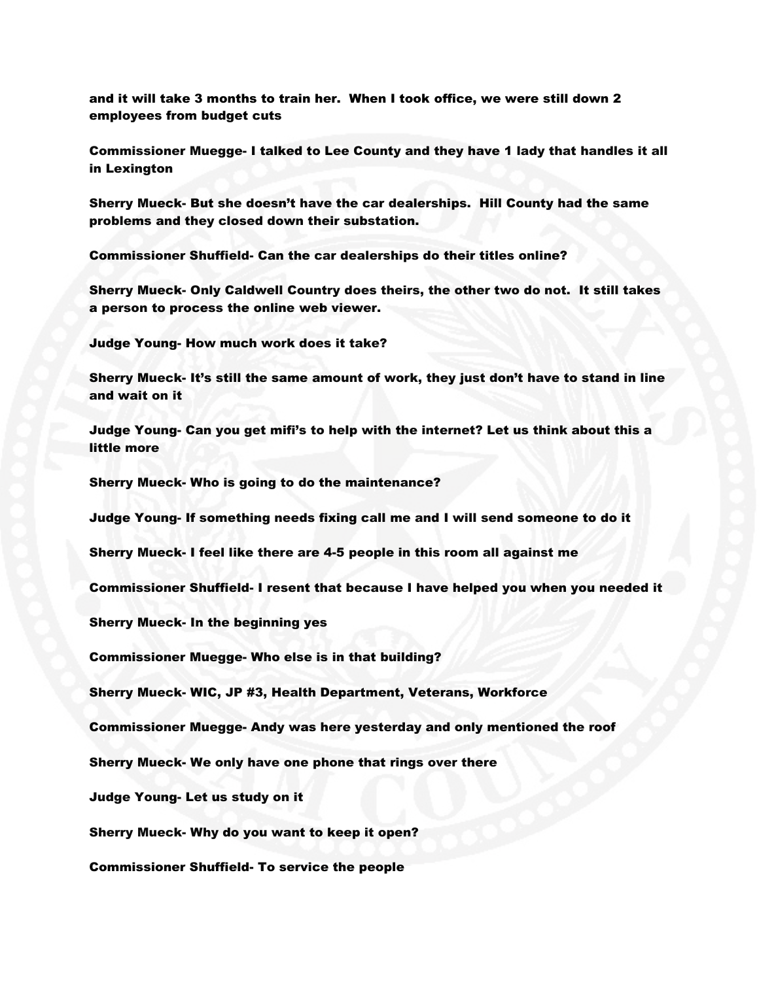and it will take 3 months to train her. When I took office, we were still down 2 employees from budget cuts

Commissioner Muegge- I talked to Lee County and they have 1 lady that handles it all in Lexington

Sherry Mueck- But she doesn't have the car dealerships. Hill County had the same problems and they closed down their substation.

Commissioner Shuffield- Can the car dealerships do their titles online?

Sherry Mueck- Only Caldwell Country does theirs, the other two do not. It still takes a person to process the online web viewer.

Judge Young- How much work does it take?

Sherry Mueck- It's still the same amount of work, they just don't have to stand in line and wait on it

Judge Young- Can you get mifi's to help with the internet? Let us think about this a little more

Sherry Mueck- Who is going to do the maintenance?

Judge Young- If something needs fixing call me and I will send someone to do it

Sherry Mueck- I feel like there are 4-5 people in this room all against me

Commissioner Shuffield- I resent that because I have helped you when you needed it

Sherry Mueck- In the beginning yes

Commissioner Muegge- Who else is in that building?

Sherry Mueck- WIC, JP #3, Health Department, Veterans, Workforce

Commissioner Muegge- Andy was here yesterday and only mentioned the roof

Sherry Mueck- We only have one phone that rings over there

Judge Young- Let us study on it

Sherry Mueck- Why do you want to keep it open?

Commissioner Shuffield- To service the people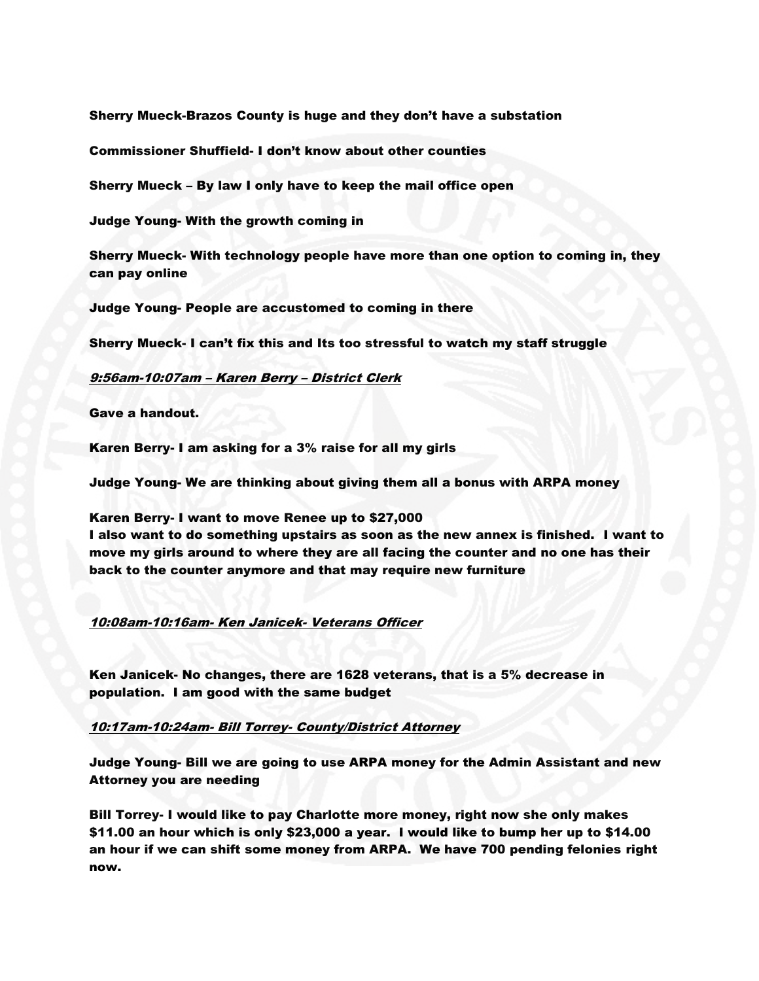Sherry Mueck-Brazos County is huge and they don't have a substation

Commissioner Shuffield- I don't know about other counties

Sherry Mueck – By law I only have to keep the mail office open

Judge Young- With the growth coming in

Sherry Mueck- With technology people have more than one option to coming in, they can pay online

Judge Young- People are accustomed to coming in there

Sherry Mueck- I can't fix this and Its too stressful to watch my staff struggle

#### 9:56am-10:07am – Karen Berry – District Clerk

Gave a handout.

Karen Berry- I am asking for a 3% raise for all my girls

Judge Young- We are thinking about giving them all a bonus with ARPA money

Karen Berry- I want to move Renee up to \$27,000

I also want to do something upstairs as soon as the new annex is finished. I want to move my girls around to where they are all facing the counter and no one has their back to the counter anymore and that may require new furniture

### 10:08am-10:16am- Ken Janicek- Veterans Officer

Ken Janicek- No changes, there are 1628 veterans, that is a 5% decrease in population. I am good with the same budget

### 10:17am-10:24am- Bill Torrey- County/District Attorney

Judge Young- Bill we are going to use ARPA money for the Admin Assistant and new Attorney you are needing

Bill Torrey- I would like to pay Charlotte more money, right now she only makes \$11.00 an hour which is only \$23,000 a year. I would like to bump her up to \$14.00 an hour if we can shift some money from ARPA. We have 700 pending felonies right now.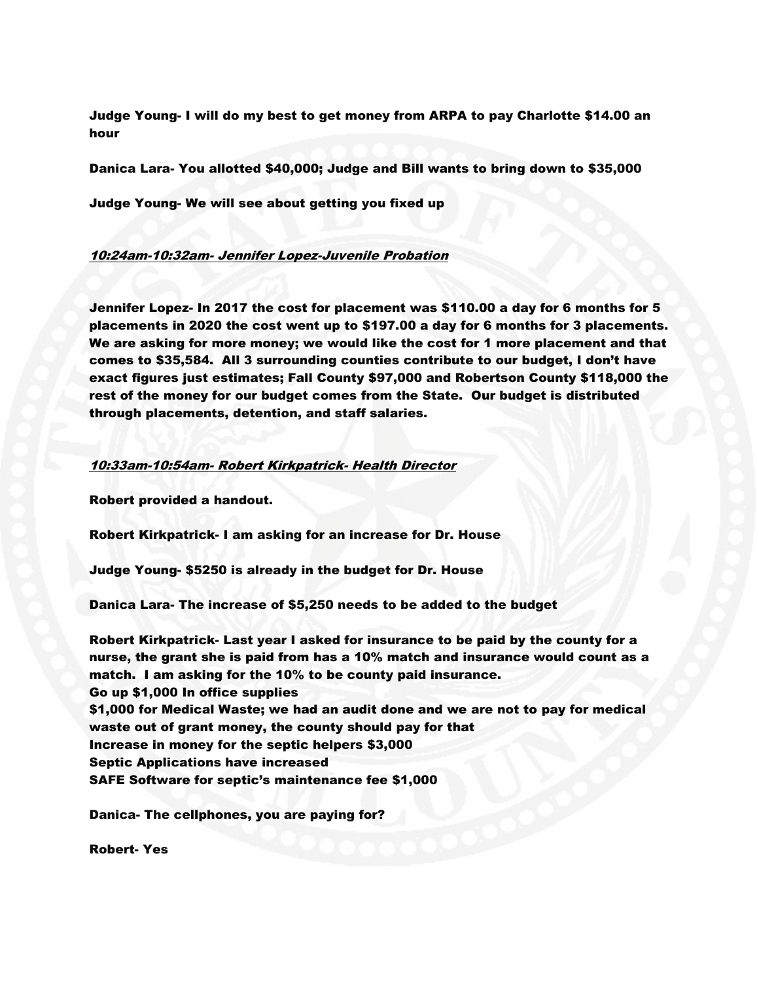Judge Young- I will do my best to get money from ARPA to pay Charlotte \$14.00 an hour

Danica Lara- You allotted \$40,000; Judge and Bill wants to bring down to \$35,000

Judge Young- We will see about getting you fixed up

### 10:24am-10:32am- Jennifer Lopez-Juvenile Probation

Jennifer Lopez- In 2017 the cost for placement was \$110.00 a day for 6 months for 5 placements in 2020 the cost went up to \$197.00 a day for 6 months for 3 placements. We are asking for more money; we would like the cost for 1 more placement and that comes to \$35,584. All 3 surrounding counties contribute to our budget, I don't have exact figures just estimates; Fall County \$97,000 and Robertson County \$118,000 the rest of the money for our budget comes from the State. Our budget is distributed through placements, detention, and staff salaries.

#### 10:33am-10:54am- Robert Kirkpatrick- Health Director

Robert provided a handout.

Robert Kirkpatrick- I am asking for an increase for Dr. House

Judge Young- \$5250 is already in the budget for Dr. House

Danica Lara- The increase of \$5,250 needs to be added to the budget

Robert Kirkpatrick- Last year I asked for insurance to be paid by the county for a nurse, the grant she is paid from has a 10% match and insurance would count as a match. I am asking for the 10% to be county paid insurance. Go up \$1,000 In office supplies \$1,000 for Medical Waste; we had an audit done and we are not to pay for medical waste out of grant money, the county should pay for that Increase in money for the septic helpers \$3,000 Septic Applications have increased SAFE Software for septic's maintenance fee \$1,000

Danica- The cellphones, you are paying for?

Robert- Yes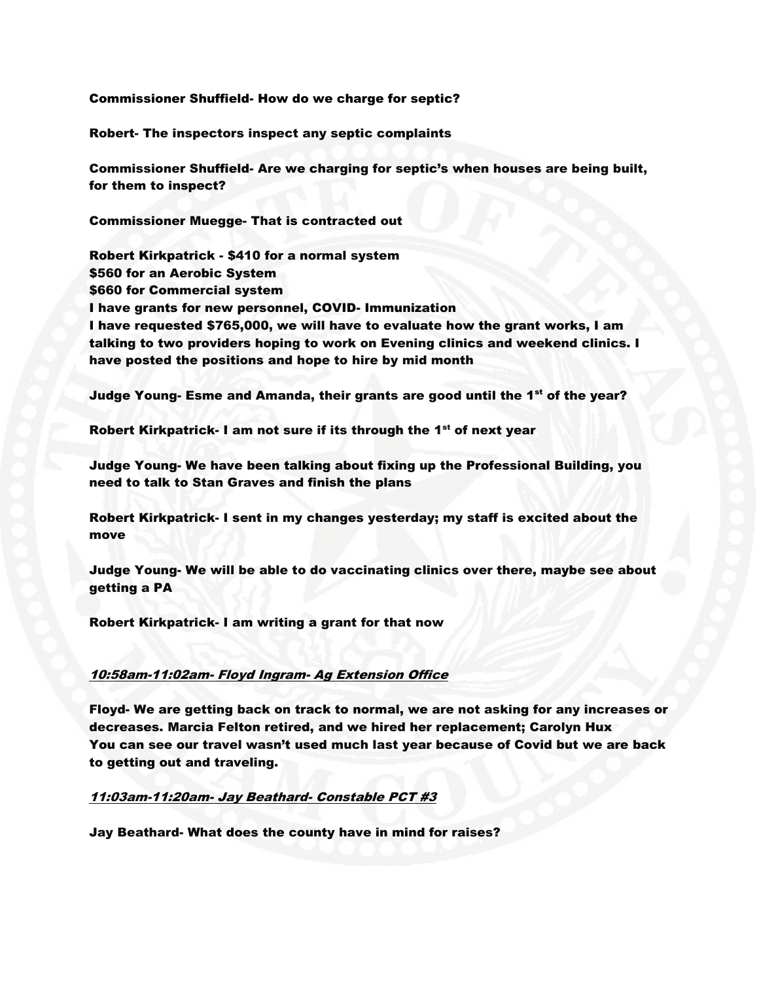Commissioner Shuffield- How do we charge for septic?

Robert- The inspectors inspect any septic complaints

Commissioner Shuffield- Are we charging for septic's when houses are being built, for them to inspect?

Commissioner Muegge- That is contracted out

Robert Kirkpatrick - \$410 for a normal system \$560 for an Aerobic System \$660 for Commercial system I have grants for new personnel, COVID- Immunization I have requested \$765,000, we will have to evaluate how the grant works, I am talking to two providers hoping to work on Evening clinics and weekend clinics. I have posted the positions and hope to hire by mid month

Judge Young- Esme and Amanda, their grants are good until the 1<sup>st</sup> of the year?

Robert Kirkpatrick- I am not sure if its through the 1<sup>st</sup> of next year

Judge Young- We have been talking about fixing up the Professional Building, you need to talk to Stan Graves and finish the plans

Robert Kirkpatrick- I sent in my changes yesterday; my staff is excited about the move

Judge Young- We will be able to do vaccinating clinics over there, maybe see about getting a PA

Robert Kirkpatrick- I am writing a grant for that now

# 10:58am-11:02am- Floyd Ingram- Ag Extension Office

Floyd- We are getting back on track to normal, we are not asking for any increases or decreases. Marcia Felton retired, and we hired her replacement; Carolyn Hux You can see our travel wasn't used much last year because of Covid but we are back to getting out and traveling.

#### 11:03am-11:20am- Jay Beathard- Constable PCT #3

Jay Beathard- What does the county have in mind for raises?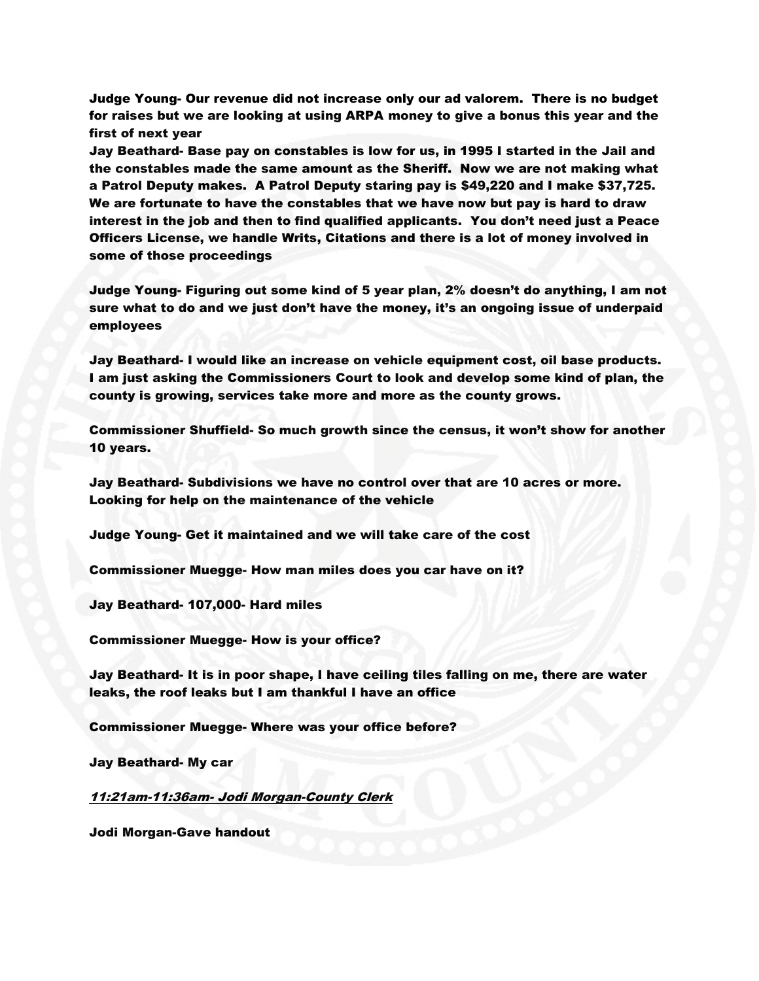Judge Young- Our revenue did not increase only our ad valorem. There is no budget for raises but we are looking at using ARPA money to give a bonus this year and the first of next year

Jay Beathard- Base pay on constables is low for us, in 1995 I started in the Jail and the constables made the same amount as the Sheriff. Now we are not making what a Patrol Deputy makes. A Patrol Deputy staring pay is \$49,220 and I make \$37,725. We are fortunate to have the constables that we have now but pay is hard to draw interest in the job and then to find qualified applicants. You don't need just a Peace Officers License, we handle Writs, Citations and there is a lot of money involved in some of those proceedings

Judge Young- Figuring out some kind of 5 year plan, 2% doesn't do anything, I am not sure what to do and we just don't have the money, it's an ongoing issue of underpaid employees

Jay Beathard- I would like an increase on vehicle equipment cost, oil base products. I am just asking the Commissioners Court to look and develop some kind of plan, the county is growing, services take more and more as the county grows.

Commissioner Shuffield- So much growth since the census, it won't show for another 10 years.

Jay Beathard- Subdivisions we have no control over that are 10 acres or more. Looking for help on the maintenance of the vehicle

Judge Young- Get it maintained and we will take care of the cost

Commissioner Muegge- How man miles does you car have on it?

Jay Beathard- 107,000- Hard miles

Commissioner Muegge- How is your office?

Jay Beathard- It is in poor shape, I have ceiling tiles falling on me, there are water leaks, the roof leaks but I am thankful I have an office

Commissioner Muegge- Where was your office before?

Jay Beathard- My car

11:21am-11:36am- Jodi Morgan-County Clerk

Jodi Morgan-Gave handout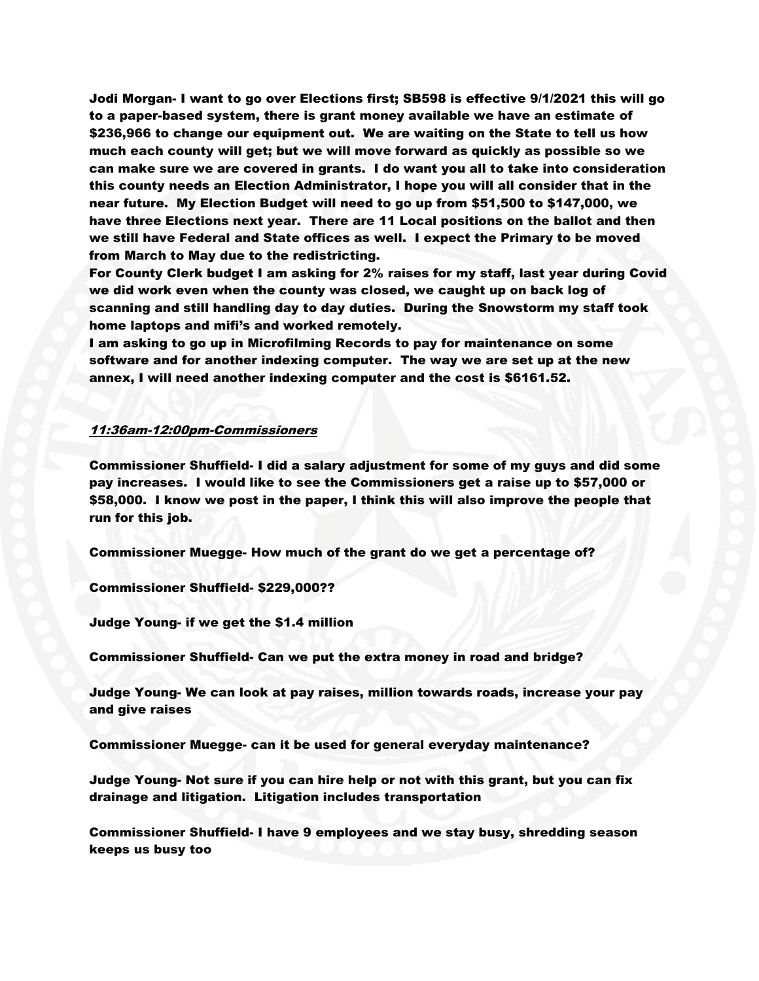Jodi Morgan- I want to go over Elections first; SB598 is effective 9/1/2021 this will go to a paper-based system, there is grant money available we have an estimate of \$236,966 to change our equipment out. We are waiting on the State to tell us how much each county will get; but we will move forward as quickly as possible so we can make sure we are covered in grants. I do want you all to take into consideration this county needs an Election Administrator, I hope you will all consider that in the near future. My Election Budget will need to go up from \$51,500 to \$147,000, we have three Elections next year. There are 11 Local positions on the ballot and then we still have Federal and State offices as well. I expect the Primary to be moved from March to May due to the redistricting.

For County Clerk budget I am asking for 2% raises for my staff, last year during Covid we did work even when the county was closed, we caught up on back log of scanning and still handling day to day duties. During the Snowstorm my staff took home laptops and mifi's and worked remotely.

I am asking to go up in Microfilming Records to pay for maintenance on some software and for another indexing computer. The way we are set up at the new annex, I will need another indexing computer and the cost is \$6161.52.

# 11:36am-12:00pm-Commissioners

Commissioner Shuffield- I did a salary adjustment for some of my guys and did some pay increases. I would like to see the Commissioners get a raise up to \$57,000 or \$58,000. I know we post in the paper, I think this will also improve the people that run for this job.

Commissioner Muegge- How much of the grant do we get a percentage of?

Commissioner Shuffield- \$229,000??

Judge Young- if we get the \$1.4 million

Commissioner Shuffield- Can we put the extra money in road and bridge?

Judge Young- We can look at pay raises, million towards roads, increase your pay and give raises

Commissioner Muegge- can it be used for general everyday maintenance?

Judge Young- Not sure if you can hire help or not with this grant, but you can fix drainage and litigation. Litigation includes transportation

Commissioner Shuffield- I have 9 employees and we stay busy, shredding season keeps us busy too